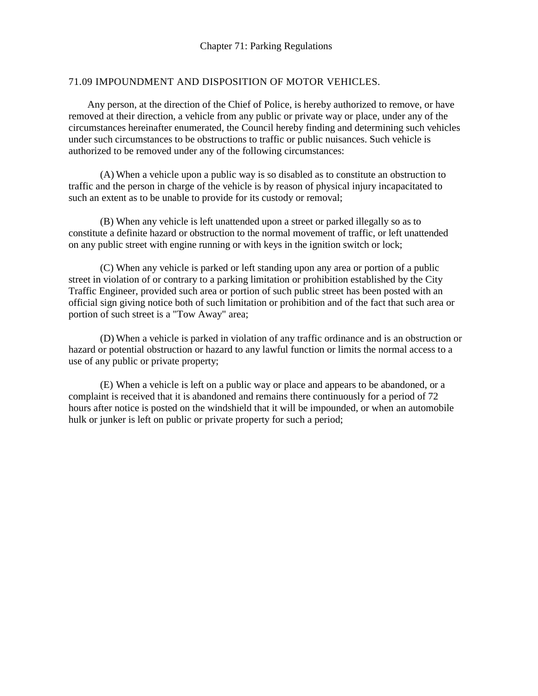## 71.09 IMPOUNDMENT AND DISPOSITION OF MOTOR VEHICLES.

Any person, at the direction of the Chief of Police, is hereby authorized to remove, or have removed at their direction, a vehicle from any public or private way or place, under any of the circumstances hereinafter enumerated, the Council hereby finding and determining such vehicles under such circumstances to be obstructions to traffic or public nuisances. Such vehicle is authorized to be removed under any of the following circumstances:

(A) When a vehicle upon a public way is so disabled as to constitute an obstruction to traffic and the person in charge of the vehicle is by reason of physical injury incapacitated to such an extent as to be unable to provide for its custody or removal;

(B) When any vehicle is left unattended upon a street or parked illegally so as to constitute a definite hazard or obstruction to the normal movement of traffic, or left unattended on any public street with engine running or with keys in the ignition switch or lock;

(C) When any vehicle is parked or left standing upon any area or portion of a public street in violation of or contrary to a parking limitation or prohibition established by the City Traffic Engineer, provided such area or portion of such public street has been posted with an official sign giving notice both of such limitation or prohibition and of the fact that such area or portion of such street is a "Tow Away" area;

(D) When a vehicle is parked in violation of any traffic ordinance and is an obstruction or hazard or potential obstruction or hazard to any lawful function or limits the normal access to a use of any public or private property;

(E) When a vehicle is left on a public way or place and appears to be abandoned, or a complaint is received that it is abandoned and remains there continuously for a period of 72 hours after notice is posted on the windshield that it will be impounded, or when an automobile hulk or junker is left on public or private property for such a period;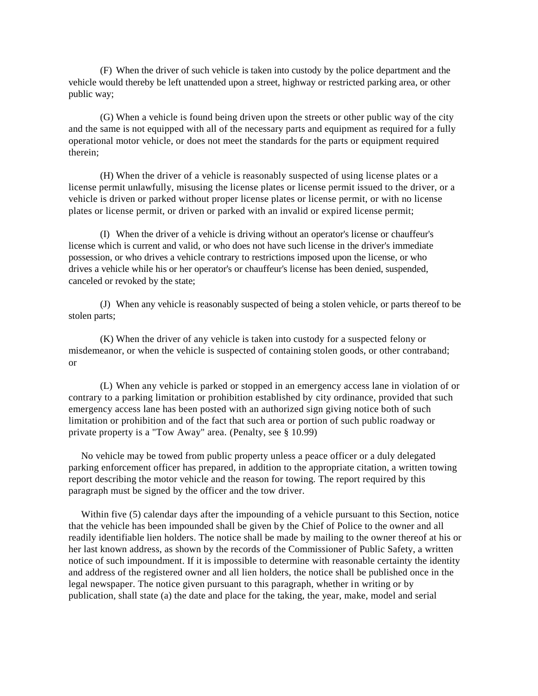(F) When the driver of such vehicle is taken into custody by the police department and the vehicle would thereby be left unattended upon a street, highway or restricted parking area, or other public way;

(G) When a vehicle is found being driven upon the streets or other public way of the city and the same is not equipped with all of the necessary parts and equipment as required for a fully operational motor vehicle, or does not meet the standards for the parts or equipment required therein;

(H) When the driver of a vehicle is reasonably suspected of using license plates or a license permit unlawfully, misusing the license plates or license permit issued to the driver, or a vehicle is driven or parked without proper license plates or license permit, or with no license plates or license permit, or driven or parked with an invalid or expired license permit;

(I) When the driver of a vehicle is driving without an operator's license or chauffeur's license which is current and valid, or who does not have such license in the driver's immediate possession, or who drives a vehicle contrary to restrictions imposed upon the license, or who drives a vehicle while his or her operator's or chauffeur's license has been denied, suspended, canceled or revoked by the state;

(J) When any vehicle is reasonably suspected of being a stolen vehicle, or parts thereof to be stolen parts;

(K) When the driver of any vehicle is taken into custody for a suspected felony or misdemeanor, or when the vehicle is suspected of containing stolen goods, or other contraband; or

(L) When any vehicle is parked or stopped in an emergency access lane in violation of or contrary to a parking limitation or prohibition established by city ordinance, provided that such emergency access lane has been posted with an authorized sign giving notice both of such limitation or prohibition and of the fact that such area or portion of such public roadway or private property is a "Tow Away" area. (Penalty, see § 10.99)

No vehicle may be towed from public property unless a peace officer or a duly delegated parking enforcement officer has prepared, in addition to the appropriate citation, a written towing report describing the motor vehicle and the reason for towing. The report required by this paragraph must be signed by the officer and the tow driver.

Within five (5) calendar days after the impounding of a vehicle pursuant to this Section, notice that the vehicle has been impounded shall be given by the Chief of Police to the owner and all readily identifiable lien holders. The notice shall be made by mailing to the owner thereof at his or her last known address, as shown by the records of the Commissioner of Public Safety, a written notice of such impoundment. If it is impossible to determine with reasonable certainty the identity and address of the registered owner and all lien holders, the notice shall be published once in the legal newspaper. The notice given pursuant to this paragraph, whether in writing or by publication, shall state (a) the date and place for the taking, the year, make, model and serial